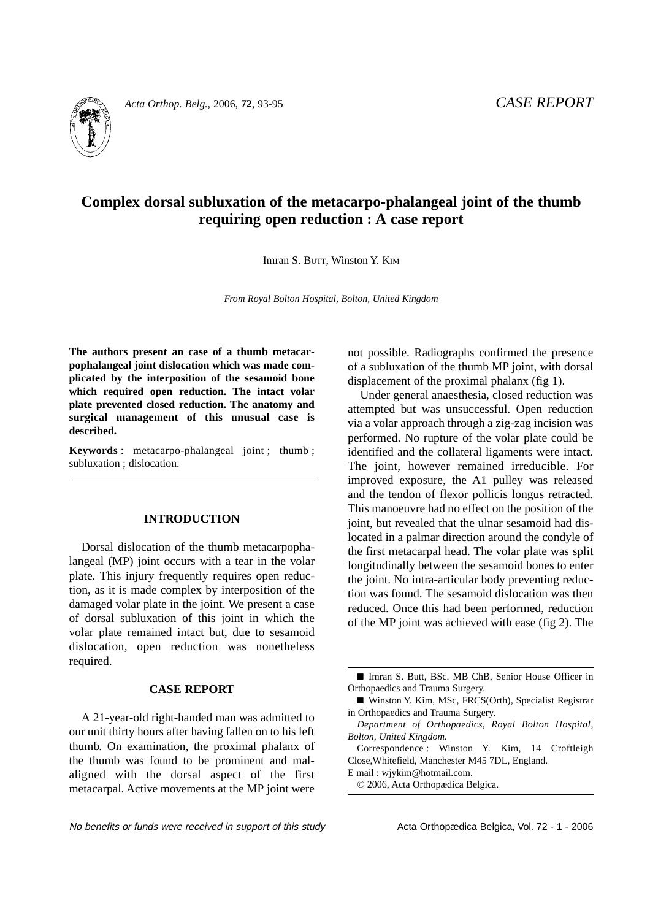

*Acta Orthop. Belg.*, 2006, **72**, 93-95 *CASE REPORT*

# **Complex dorsal subluxation of the metacarpo-phalangeal joint of the thumb requiring open reduction : A case report**

Imran S. BUTT, Winston Y. KIM

*From Royal Bolton Hospital, Bolton, United Kingdom*

**The authors present an case of a thumb metacarpophalangeal joint dislocation which was made complicated by the interposition of the sesamoid bone which required open reduction. The intact volar plate prevented closed reduction. The anatomy and surgical management of this unusual case is described.**

**Keywords** : metacarpo-phalangeal joint ; thumb ; subluxation ; dislocation.

#### **INTRODUCTION**

Dorsal dislocation of the thumb metacarpophalangeal (MP) joint occurs with a tear in the volar plate. This injury frequently requires open reduction, as it is made complex by interposition of the damaged volar plate in the joint. We present a case of dorsal subluxation of this joint in which the volar plate remained intact but, due to sesamoid dislocation, open reduction was nonetheless required.

### **CASE REPORT**

A 21-year-old right-handed man was admitted to our unit thirty hours after having fallen on to his left thumb. On examination, the proximal phalanx of the thumb was found to be prominent and malaligned with the dorsal aspect of the first metacarpal. Active movements at the MP joint were not possible. Radiographs confirmed the presence of a subluxation of the thumb MP joint, with dorsal displacement of the proximal phalanx (fig 1).

Under general anaesthesia, closed reduction was attempted but was unsuccessful. Open reduction via a volar approach through a zig-zag incision was performed. No rupture of the volar plate could be identified and the collateral ligaments were intact. The joint, however remained irreducible. For improved exposure, the A1 pulley was released and the tendon of flexor pollicis longus retracted. This manoeuvre had no effect on the position of the joint, but revealed that the ulnar sesamoid had dislocated in a palmar direction around the condyle of the first metacarpal head. The volar plate was split longitudinally between the sesamoid bones to enter the joint. No intra-articular body preventing reduction was found. The sesamoid dislocation was then reduced. Once this had been performed, reduction of the MP joint was achieved with ease (fig 2). The

<sup>■</sup> Imran S. Butt, BSc. MB ChB, Senior House Officer in Orthopaedics and Trauma Surgery.

<sup>■</sup> Winston Y. Kim, MSc, FRCS(Orth), Specialist Registrar in Orthopaedics and Trauma Surgery.

*Department of Orthopaedics, Royal Bolton Hospital, Bolton, United Kingdom.*

Correspondence : Winston Y. Kim, 14 Croftleigh Close,Whitefield, Manchester M45 7DL, England.

E mail : wjykim@hotmail.com.

<sup>© 2006,</sup> Acta Orthopædica Belgica.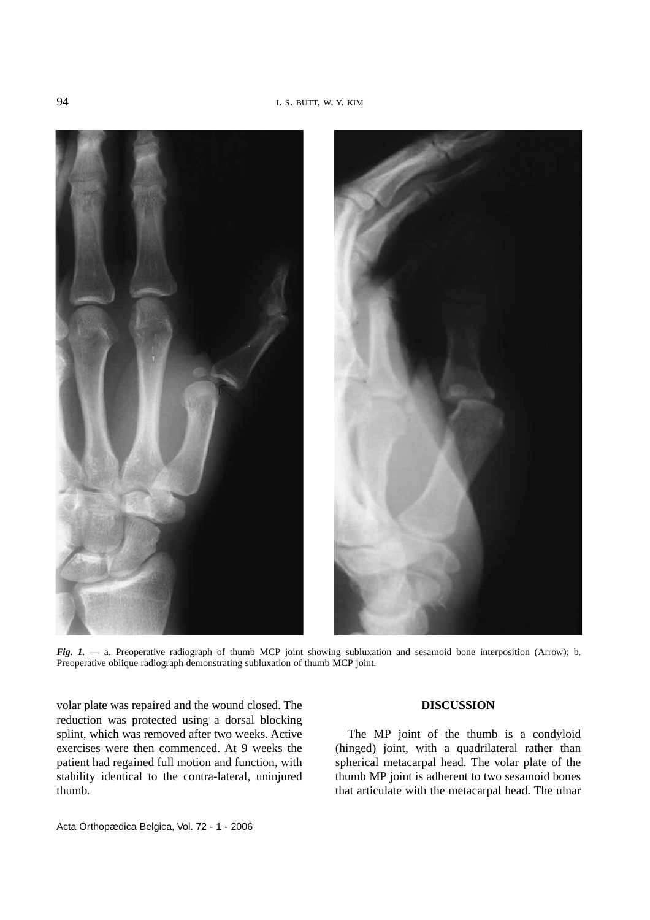

*Fig. 1.* — a. Preoperative radiograph of thumb MCP joint showing subluxation and sesamoid bone interposition (Arrow); b. Preoperative oblique radiograph demonstrating subluxation of thumb MCP joint.

volar plate was repaired and the wound closed. The reduction was protected using a dorsal blocking splint, which was removed after two weeks. Active exercises were then commenced. At 9 weeks the patient had regained full motion and function, with stability identical to the contra-lateral, uninjured thumb.

## **DISCUSSION**

The MP joint of the thumb is a condyloid (hinged) joint, with a quadrilateral rather than spherical metacarpal head. The volar plate of the thumb MP joint is adherent to two sesamoid bones that articulate with the metacarpal head. The ulnar